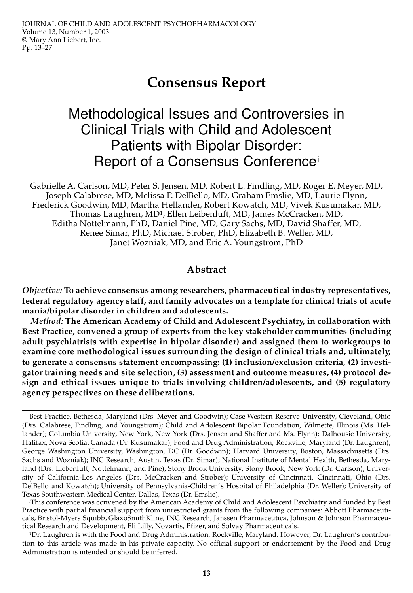# **Consensus Report**

# Methodological Issues and Controversies in Clinical Trials with Child and Adolescent Patients with Bipolar Disorder: Report of a Consensus Conference<sup>i</sup>

Gabrielle A. Carlson, MD, Peter S. Jensen, MD, Robert L. Findling, MD, Roger E. Meyer, MD, Joseph Calabrese, MD, Melissa P. DelBello, MD, Graham Emslie, MD, Laurie Flynn, Frederick Goodwin, MD, Martha Hellander, Robert Kowatch, MD, Vivek Kusumakar, MD, Thomas Laughren, MD<sup>1</sup> , Ellen Leibenluft, MD, James McCracken, MD, Editha Nottelmann, PhD, Daniel Pine, MD, Gary Sachs, MD, David Shaffer, MD, Renee Simar, PhD, Michael Strober, PhD, Elizabeth B. Weller, MD, Janet Wozniak, MD, and Eric A. Youngstrom, PhD

# **Abstract**

*Objective:* **To achieve consensus among researchers, pharmaceutical industry representatives, federal regulatory agency staff, and family advocates on a template for clinical trials of acute mania/bipolar disorder in children and adolescents.**

*Method:* **The American Academy of Child and Adolescent Psychiatry, in collaboration with Best Practice, convened a group of experts from the key stakeholder communities (including adult psychiatrists with expertise in bipolar disorder) and assigned them to workgroups to examine core methodological issues surrounding the design of clinical trials and, ultimately, to generate a consensus statement encompassing: (1) inclusion/exclusion criteria, (2) investigator training needs and site selection, (3) assessment and outcome measures, (4) protocol design and ethical issues unique to trials involving children/adolescents, and (5) regulatory agency perspectives on these deliberations.**

Best Practice, Bethesda, Maryland (Drs. Meyer and Goodwin); Case Western Reserve University, Cleveland, Ohio (Drs. Calabrese, Findling, and Youngstrom); Child and Adolescent Bipolar Foundation, Wilmette, Illinois (Ms. Hellander); Columbia University, New York, New York (Drs. Jensen and Shaffer and Ms. Flynn); Dalhousie University, Halifax, Nova Scotia, Canada (Dr. Kusumakar); Food and Drug Administration, Rockville, Maryland (Dr. Laughren); George Washington University, Washington, DC (Dr. Goodwin); Harvard University, Boston, Massachusetts (Drs. Sachs and Wozniak); INC Research, Austin, Texas (Dr. Simar); National Institute of Mental Health, Bethesda, Maryland (Drs. Liebenluft, Nottelmann, and Pine); Stony Brook University, Stony Brook, New York (Dr. Carlson); University of California-Los Angeles (Drs. McCracken and Strober); University of Cincinnati, Cincinnati, Ohio (Drs. DelBello and Kowatch); University of Pennsylvania-Children' s Hospital of Philadelphia (Dr. Weller); University of Texas Southwestern Medical Center, Dallas, Texas (Dr. Emslie).

<sup>i</sup>This conference was convened by the American Academy of Child and Adolescent Psychiatry and funded by Best Practice with partial financial support from unrestricted grants from the following companies: Abbott Pharmaceuticals, Bristol-Myers Squibb, GlaxoSmithKline, INC Research, Janssen Pharmaceutica, Johnson & Johnson Pharmaceutical Research and Development, Eli Lilly, Novartis, Pfizer, and Solvay Pharmaceuticals.

1Dr. Laughren is with the Food and Drug Administration, Rockville, Maryland. However, Dr. Laughren's contribution to this article was made in his private capacity. No official support or endorsement by the Food and Drug Administration is intended or should be inferred.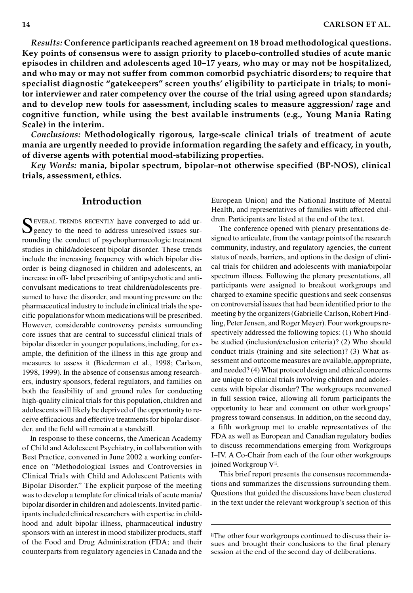*Results:* **Conference participants reached agreement on 18 broad methodological questions. Key points of consensus were to assign priority to placebo-controlled studies of acute manic episodes in children and adolescents aged 10–17 years, who may or may not be hospitalized, and who may or may not suffer from common comorbid psychiatric disorders; to require that specialist diagnostic "gatekeepers" screen youths' eligibility to participate in trials; to monitor interviewer and rater competency over the course of the trial using agreed upon standards; and to develop new tools for assessment, including scales to measure aggression/ rage and cognitive function, while using the best available instruments (e.g., Young Mania Rating Scale) in the interim.**

*Conclusions:* **Methodologically rigorous, large-scale clinical trials of treatment of acute mania are urgently needed to provide information regarding the safety and efficacy, in youth, of diverse agents with potential mood-stabilizing properties.**

*Key Words:* **mania, bipolar spectrum, bipolar–not otherwise specified (BP-NOS), clinical trials, assessment, ethics.**

### **Introduction**

SEVERAL TRENDS RECENTLY have converged to add urgency to the need to address unresolved issues sur- $\mathbf{Q}_{\text{gency}}$  to the need to address unresolved issues surrounding the conduct of psychopharmacologic treatment studies in child/adolescent bipolar disorder. These trends include the increasing frequency with which bipolar disorder is being diagnosed in children and adolescents, an increase in off- label prescribing of antipsychotic and anticonvulsant medications to treat children/adolescents presumed to have the disorder, and mounting pressure on the pharmaceutical industry to include in clinical trials the specific populations for whom medications will be prescribed. However, considerable controversy persists surrounding core issues that are central to successful clinical trials of bipolar disorder in younger populations, including, for example, the definition of the illness in this age group and measures to assess it (Biederman et al., 1998; Carlson, 1998, 1999). In the absence of consensus among researchers, industry sponsors, federal regulators, and families on both the feasibility of and ground rules for conducting high-quality clinical trials for this population, children and adolescents will likely be deprived of the opportunity to receive efficacious and effective treatments for bipolar disorder, and the field will remain at a standstill.

In response to these concerns, the American Academy of Child and Adolescent Psychiatry, in collaboration with Best Practice, convened in June 2002 a working conference on "Methodological Issues and Controversies in Clinical Trials with Child and Adolescent Patients with Bipolar Disorder." The explicit purpose of the meeting was to develop a template for clinical trials of acute mania/ bipolar disorder in children and adolescents. Invited participants included clinical researchers with expertise in childhood and adult bipolar illness, pharmaceutical industry sponsors with an interest in mood stabilizer products, staff of the Food and Drug Administration (FDA; and their counterparts from regulatory agencies in Canada and the European Union) and the National Institute of Mental Health, and representatives of families with affected children. Participants are listed at the end of the text.

The conference opened with plenary presentations designed to articulate, from the vantage points of the research community, industry, and regulatory agencies, the current status of needs, barriers, and options in the design of clinical trials for children and adolescents with mania/bipolar spectrum illness. Following the plenary presentations, all participants were assigned to breakout workgroups and charged to examine specific questions and seek consensus on controversial issues that had been identified prior to the meeting by the organizers (Gabrielle Carlson, Robert Findling, Peter Jensen, and Roger Meyer). Four workgroups respectively addressed the following topics: (1) Who should be studied (inclusion/exclusion criteria)? (2) Who should conduct trials (training and site selection)? (3) What assessment and outcome measures are available, appropriate, and needed? (4) What protocol design and ethical concerns are unique to clinical trials involving children and adolescents with bipolar disorder? The workgroups reconvened in full session twice, allowing all forum participants the opportunity to hear and comment on other workgroups' progress toward consensus. In addition, on the second day, a fifth workgroup met to enable representatives of the FDA as well as European and Canadian regulatory bodies to discuss recommendations emerging from Workgroups I–IV. A Co-Chair from each of the four other workgroups joined Workgroup V<sup>ii</sup>.

This brief report presents the consensus recommendations and summarizes the discussions surrounding them. Questions that guided the discussions have been clustered in the text under the relevant workgroup's section of this

iiThe other four workgroups continued to discuss their issues and brought their conclusions to the final plenary session at the end of the second day of deliberations.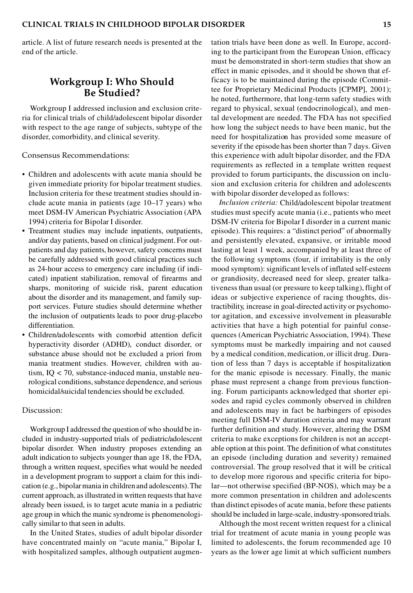article. A list of future research needs is presented at the end of the article.

# **Workgroup I: Who Should Be Studied?**

Workgroup I addressed inclusion and exclusion criteria for clinical trials of child/adolescent bipolar disorder with respect to the age range of subjects, subtype of the disorder, comorbidity, and clinical severity.

Consensus Recommendations:

- Children and adolescents with acute mania should be given immediate priority for bipolar treatment studies. Inclusion criteria for these treatment studies should include acute mania in patients (age 10–17 years) who meet DSM-IV American Psychiatric Association (APA 1994) criteria for Bipolar I disorder.
- Treatment studies may include inpatients, outpatients, and/or day patients, based on clinical judgment. For outpatients and day patients, however, safety concerns must be carefully addressed with good clinical practices such as 24-hour access to emergency care including (if indicated) inpatient stabilization, removal of firearms and sharps, monitoring of suicide risk, parent education about the disorder and its management, and family support services. Future studies should determine whether the inclusion of outpatients leads to poor drug-placebo differentiation.
- Children/adolescents with comorbid attention deficit hyperactivity disorder (ADHD), conduct disorder, or substance abuse should not be excluded a priori from mania treatment studies. However, children with autism, IQ < 70, substance-induced mania, unstable neurological conditions, substance dependence, and serious homicidal/suicidal tendencies should be excluded.

#### Discussion:

Workgroup I addressed the question of who should be included in industry-supported trials of pediatric/adolescent bipolar disorder. When industry proposes extending an adult indication to subjects younger than age 18, the FDA, through a written request, specifies what would be needed in a development program to support a claim for this indication (e.g., bipolar mania in children and adolescents). The current approach, as illustrated in written requests that have already been issued, is to target acute mania in a pediatric age group in which the manic syndrome is phenomenologically similar to that seen in adults.

In the United States, studies of adult bipolar disorder have concentrated mainly on "acute mania," Bipolar I, with hospitalized samples, although outpatient augmentation trials have been done as well. In Europe, according to the participant from the European Union, efficacy must be demonstrated in short-term studies that show an effect in manic episodes, and it should be shown that efficacy is to be maintained during the episode (Committee for Proprietary Medicinal Products [CPMP], 2001); he noted, furthermore, that long-term safety studies with regard to physical, sexual (endocrinological), and mental development are needed. The FDA has not specified how long the subject needs to have been manic, but the need for hospitalization has provided some measure of severity if the episode has been shorter than 7 days. Given this experience with adult bipolar disorder, and the FDA requirements as reflected in a template written request provided to forum participants, the discussion on inclusion and exclusion criteria for children and adolescents with bipolar disorder developed as follows:

*Inclusion criteria:* Child/adolescent bipolar treatment studies must specify acute mania (i.e., patients who meet DSM-IV criteria for Bipolar I disorder in a current manic episode). This requires: a "distinct period" of abnormally and persistently elevated, expansive, or irritable mood lasting at least 1 week, accompanied by at least three of the following symptoms (four, if irritability is the only mood symptom): significant levels of inflated self-esteem or grandiosity, decreased need for sleep, greater talkativeness than usual (or pressure to keep talking), flight of ideas or subjective experience of racing thoughts, distractibility, increase in goal-directed activity or psychomotor agitation, and excessive involvement in pleasurable activities that have a high potential for painful consequences (American Psychiatric Association, 1994). These symptoms must be markedly impairing and not caused by a medical condition, medication, or illicit drug. Duration of less than 7 days is acceptable if hospitalization for the manic episode is necessary. Finally, the manic phase must represent a change from previous functioning. Forum participants acknowledged that shorter episodes and rapid cycles commonly observed in children and adolescents may in fact be harbingers of episodes meeting full DSM-IV duration criteria and may warrant further definition and study. However, altering the DSM criteria to make exceptions for children is not an acceptable option at this point. The definition of what constitutes an episode (including duration and severity) remained controversial. The group resolved that it will be critical to develop more rigorous and specific criteria for bipolar—not otherwise specified (BP-NOS), which may be a more common presentation in children and adolescents than distinct episodes of acute mania, before these patients should be included in large-scale, industry-sponsored trials.

Although the most recent written request for a clinical trial for treatment of acute mania in young people was limited to adolescents, the forum recommended age 10 years as the lower age limit at which sufficient numbers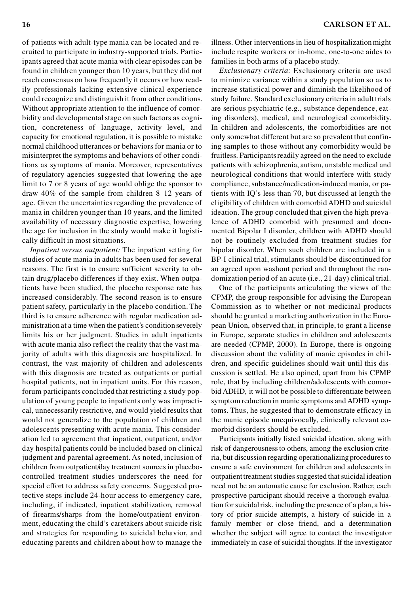of patients with adult-type mania can be located and recruited to participate in industry-supported trials. Participants agreed that acute mania with clear episodes can be found in children younger than 10 years, but they did not reach consensus on how frequently it occurs or how readily professionals lacking extensive clinical experience could recognize and distinguish it from other conditions. Without appropriate attention to the influence of comorbidity and developmental stage on such factors as cognition, concreteness of language, activity level, and capacity for emotional regulation, it is possible to mistake normal childhood utterances or behaviors for mania or to misinterpret the symptoms and behaviors of other conditions as symptoms of mania. Moreover, representatives of regulatory agencies suggested that lowering the age limit to 7 or 8 years of age would oblige the sponsor to draw 40% of the sample from children 8–12 years of age. Given the uncertainties regarding the prevalence of mania in children younger than 10 years, and the limited availability of necessary diagnostic expertise, lowering the age for inclusion in the study would make it logistically difficult in most situations.

*Inpatient versus outpatient:* The inpatient setting for studies of acute mania in adults has been used for several reasons. The first is to ensure sufficient severity to obtain drug/placebo differences if they exist. When outpatients have been studied, the placebo response rate has increased considerably. The second reason is to ensure patient safety, particularly in the placebo condition. The third is to ensure adherence with regular medication administration at a time when the patient's condition severely limits his or her judgment. Studies in adult inpatients with acute mania also reflect the reality that the vast majority of adults with this diagnosis are hospitalized. In contrast, the vast majority of children and adolescents with this diagnosis are treated as outpatients or partial hospital patients, not in inpatient units. For this reason, forum participants concluded that restricting a study population of young people to inpatients only was impractical, unnecessarily restrictive, and would yield results that would not generalize to the population of children and adolescents presenting with acute mania. This consideration led to agreement that inpatient, outpatient, and/or day hospital patients could be included based on clinical judgment and parental agreement. As noted, inclusion of children from outpatient/day treatment sources in placebocontrolled treatment studies underscores the need for special effort to address safety concerns. Suggested protective steps include 24-hour access to emergency care, including, if indicated, inpatient stabilization, removal of firearms/sharps from the home/outpatient environment, educating the child's caretakers about suicide risk and strategies for responding to suicidal behavior, and educating parents and children about how to manage the illness. Other interventions in lieu of hospitalization might include respite workers or in-home, one-to-one aides to families in both arms of a placebo study.

*Exclusionary criteria:* Exclusionary criteria are used to minimize variance within a study population so as to increase statistical power and diminish the likelihood of study failure. Standard exclusionary criteria in adult trials are serious psychiatric (e.g., substance dependence, eating disorders), medical, and neurological comorbidity. In children and adolescents, the comorbidities are not only somewhat different but are so prevalent that confining samples to those without any comorbidity would be fruitless. Participants readily agreed on the need to exclude patients with schizophrenia, autism, unstable medical and neurological conditions that would interfere with study compliance, substance/medication-induced mania, or patients with IQ's less than 70, but discussed at length the eligibility of children with comorbid ADHD and suicidal ideation. The group concluded that given the high prevalence of ADHD comorbid with presumed and documented Bipolar I disorder, children with ADHD should not be routinely excluded from treatment studies for bipolar disorder. When such children are included in a BP-I clinical trial, stimulants should be discontinued for an agreed upon washout period and throughout the randomization period of an acute (i.e., 21-day) clinical trial.

One of the participants articulating the views of the CPMP, the group responsible for advising the European Commission as to whether or not medicinal products should be granted a marketing authorization in the European Union, observed that, in principle, to grant a license in Europe, separate studies in children and adolescents are needed (CPMP, 2000). In Europe, there is ongoing discussion about the validity of manic episodes in children, and specific guidelines should wait until this discussion is settled. He also opined, apart from his CPMP role, that by including children/adolescents with comorbid ADHD, it will not be possible to differentiate between symptom reduction in manic symptoms and ADHD symptoms. Thus, he suggested that to demonstrate efficacy in the manic episode unequivocally, clinically relevant comorbid disorders should be excluded.

Participants initially listed suicidal ideation, along with risk of dangerousness to others, among the exclusion criteria, but discussion regarding operationalizing procedures to ensure a safe environment for children and adolescents in outpatient treatment studies suggested that suicidal ideation need not be an automatic cause for exclusion. Rather, each prospective participant should receive a thorough evaluation for suicidal risk, including the presence of a plan, a history of prior suicide attempts, a history of suicide in a family member or close friend, and a determination whether the subject will agree to contact the investigator immediately in case of suicidal thoughts. If the investigator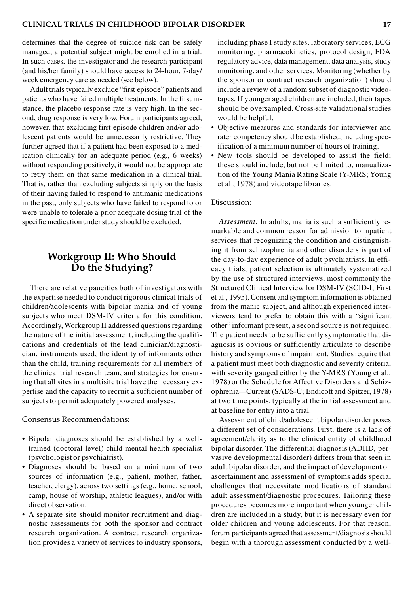determines that the degree of suicide risk can be safely managed, a potential subject might be enrolled in a trial. In such cases, the investigator and the research participant (and his/her family) should have access to 24-hour, 7-day/ week emergency care as needed (see below).

Adult trials typically exclude "first episode" patients and patients who have failed multiple treatments. In the first instance, the placebo response rate is very high. In the second, drug response is very low. Forum participants agreed, however, that excluding first episode children and/or adolescent patients would be unnecessarily restrictive. They further agreed that if a patient had been exposed to a medication clinically for an adequate period (e.g., 6 weeks) without responding positively, it would not be appropriate to retry them on that same medication in a clinical trial. That is, rather than excluding subjects simply on the basis of their having failed to respond to antimanic medications in the past, only subjects who have failed to respond to or were unable to tolerate a prior adequate dosing trial of the specific medication under study should be excluded.

# **Workgroup II: Who Should Do the Studying?**

There are relative paucities both of investigators with the expertise needed to conduct rigorous clinical trials of children/adolescents with bipolar mania and of young subjects who meet DSM-IV criteria for this condition. Accordingly, Workgroup II addressed questions regarding the nature of the initial assessment, including the qualifications and credentials of the lead clinician/diagnostician, instruments used, the identity of informants other than the child, training requirements for all members of the clinical trial research team, and strategies for ensuring that all sites in a multisite trial have the necessary expertise and the capacity to recruit a sufficient number of subjects to permit adequately powered analyses.

Consensus Recommendations:

- Bipolar diagnoses should be established by a welltrained (doctoral level) child mental health specialist (psychologist or psychiatrist).
- Diagnoses should be based on a minimum of two sources of information (e.g., patient, mother, father, teacher, clergy), across two settings (e.g., home, school, camp, house of worship, athletic leagues), and/or with direct observation.
- A separate site should monitor recruitment and diagnostic assessments for both the sponsor and contract research organization. A contract research organization provides a variety of services to industry sponsors,

including phase I study sites, laboratory services, ECG monitoring, pharmacokinetics, protocol design, FDA regulatory advice, data management, data analysis, study monitoring, and other services. Monitoring (whether by the sponsor or contract research organization) should include a review of a random subset of diagnostic videotapes. If younger aged children are included, their tapes should be oversampled. Cross-site validational studies would be helpful.

- Objective measures and standards for interviewer and rater competency should be established, including specification of a minimum number of hours of training.
- New tools should be developed to assist the field; these should include, but not be limited to, manualization of the Young Mania Rating Scale (Y-MRS; Young et al., 1978) and videotape libraries.

#### Discussion:

*Assessment:* In adults, mania is such a sufficiently remarkable and common reason for admission to inpatient services that recognizing the condition and distinguishing it from schizophrenia and other disorders is part of the day-to-day experience of adult psychiatrists. In efficacy trials, patient selection is ultimately systematized by the use of structured interviews, most commonly the Structured Clinical Interview for DSM-IV (SCID-I; First et al., 1995). Consent and symptom information is obtained from the manic subject, and although experienced interviewers tend to prefer to obtain this with a "significant other" informant present, a second source is not required. The patient needs to be sufficiently symptomatic that diagnosis is obvious or sufficiently articulate to describe history and symptoms of impairment. Studies require that a patient must meet both diagnostic and severity criteria, with severity gauged either by the Y-MRS (Young et al., 1978) or the Schedule for Affective Disorders and Schizophrenia—Current (SADS-C; Endicott and Spitzer, 1978) at two time points, typically at the initial assessment and at baseline for entry into a trial.

Assessment of child/adolescent bipolar disorder poses a different set of considerations. First, there is a lack of agreement/clarity as to the clinical entity of childhood bipolar disorder. The differential diagnosis (ADHD, pervasive developmental disorder) differs from that seen in adult bipolar disorder, and the impact of development on ascertainment and assessment of symptoms adds special challenges that necessitate modifications of standard adult assessment/diagnostic procedures. Tailoring these procedures becomes more important when younger children are included in a study, but it is necessary even for older children and young adolescents. For that reason, forum participants agreed that assessment/diagnosis should begin with a thorough assessment conducted by a well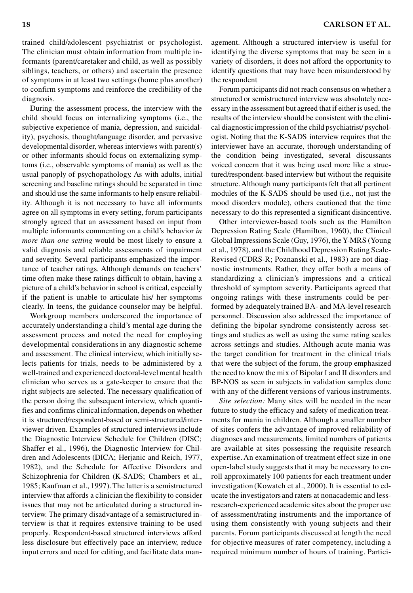trained child/adolescent psychiatrist or psychologist. The clinician must obtain information from multiple informants (parent/caretaker and child, as well as possibly siblings, teachers, or others) and ascertain the presence of symptoms in at least two settings (home plus another) to confirm symptoms and reinforce the credibility of the diagnosis.

During the assessment process, the interview with the child should focus on internalizing symptoms (i.e., the subjective experience of mania, depression, and suicidality), psychosis, thought/language disorder, and pervasive developmental disorder, whereas interviews with parent(s) or other informants should focus on externalizing symptoms (i.e., observable symptoms of mania) as well as the usual panoply of psychopathology. As with adults, initial screening and baseline ratings should be separated in time and should use the same informants to help ensure reliability. Although it is not necessary to have all informants agree on all symptoms in every setting, forum participants strongly agreed that an assessment based on input from multiple informants commenting on a child's behavior *in more than one setting* would be most likely to ensure a valid diagnosis and reliable assessments of impairment and severity. Several participants emphasized the importance of teacher ratings. Although demands on teachers' time often make these ratings difficult to obtain, having a picture of a child's behavior in school is critical, especially if the patient is unable to articulate his/ her symptoms clearly. In teens, the guidance counselor may be helpful.

Workgroup members underscored the importance of accurately understanding a child's mental age during the assessment process and noted the need for employing developmental considerations in any diagnostic scheme and assessment. The clinical interview, which initially selects patients for trials, needs to be administered by a well-trained and experienced doctoral-level mental health clinician who serves as a gate-keeper to ensure that the right subjects are selected. The necessary qualification of the person doing the subsequent interview, which quantifies and confirms clinical information, depends on whether it is structured/respondent-based or semi-structured/interviewer driven. Examples of structured interviews include the Diagnostic Interview Schedule for Children (DISC; Shaffer et al., 1996), the Diagnostic Interview for Children and Adolescents (DICA; Herjanic and Reich, 1977, 1982), and the Schedule for Affective Disorders and Schizophrenia for Children (K-SADS; Chambers et al., 1985; Kaufman et al., 1997). The latter is a semistructured interview that affords a clinician the flexibility to consider issues that may not be articulated during a structured interview. The primary disadvantage of a semistructured interview is that it requires extensive training to be used properly. Respondent-based structured interviews afford less disclosure but effectively pace an interview, reduce input errors and need for editing, and facilitate data man-

agement. Although a structured interview is useful for identifying the diverse symptoms that may be seen in a variety of disorders, it does not afford the opportunity to identify questions that may have been misunderstood by the respondent

Forum participants did not reach consensus on whether a structured or semistructured interview was absolutely necessary in the assessment but agreed that if either is used, the results of the interview should be consistent with the clinical diagnostic impression of the child psychiatrist/ psychologist. Noting that the K-SADS interview requires that the interviewer have an accurate, thorough understanding of the condition being investigated, several discussants voiced concern that it was being used more like a structured/respondent-based interview but without the requisite structure. Although many participants felt that all pertinent modules of the K-SADS should be used (i.e., not just the mood disorders module), others cautioned that the time necessary to do this represented a significant disincentive.

Other interviewer-based tools such as the Hamilton Depression Rating Scale (Hamilton, 1960), the Clinical Global Impressions Scale (Guy, 1976), the Y-MRS (Young et al., 1978), and the Childhood Depression Rating Scale-Revised (CDRS-R; Poznanski et al., 1983) are not diagnostic instruments. Rather, they offer both a means of standardizing a clinician's impressions and a critical threshold of symptom severity. Participants agreed that ongoing ratings with these instruments could be performed by adequately trained BA- and MA-level research personnel. Discussion also addressed the importance of defining the bipolar syndrome consistently across settings and studies as well as using the same rating scales across settings and studies. Although acute mania was the target condition for treatment in the clinical trials that were the subject of the forum, the group emphasized the need to know the mix of Bipolar I and II disorders and BP-NOS as seen in subjects in validation samples done with any of the different versions of various instruments.

*Site selection:* Many sites will be needed in the near future to study the efficacy and safety of medication treatments for mania in children. Although a smaller number of sites confers the advantage of improved reliability of diagnoses and measurements, limited numbers of patients are available at sites possessing the requisite research expertise. An examination of treatment effect size in one open-label study suggests that it may be necessary to enroll approximately 100 patients for each treatment under investigation (Kowatch et al., 2000). It is essential to educate the investigators and raters at nonacademic and lessresearch-experienced academic sites about the proper use of assessment/rating instruments and the importance of using them consistently with young subjects and their parents. Forum participants discussed at length the need for objective measures of rater competency, including a required minimum number of hours of training. Partici-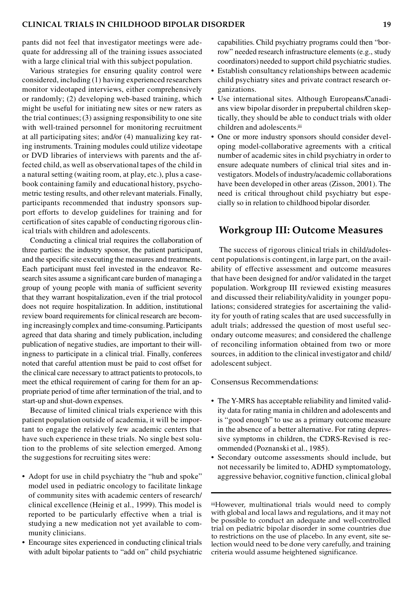pants did not feel that investigator meetings were adequate for addressing all of the training issues associated with a large clinical trial with this subject population.

Various strategies for ensuring quality control were considered, including (1) having experienced researchers monitor videotaped interviews, either comprehensively or randomly; (2) developing web-based training, which might be useful for initiating new sites or new raters as the trial continues; (3) assigning responsibility to one site with well-trained personnel for monitoring recruitment at all participating sites; and/or (4) manualizing key rating instruments. Training modules could utilize videotape or DVD libraries of interviews with parents and the affected child, as well as observational tapes of the child in a natural setting (waiting room, at play, etc.), plus a casebook containing family and educational history, psychometric testing results, and other relevant materials. Finally, participants recommended that industry sponsors support efforts to develop guidelines for training and for certification of sites capable of conducting rigorous clinical trials with children and adolescents.

Conducting a clinical trial requires the collaboration of three parties: the industry sponsor, the patient participant, and the specific site executing the measures and treatments. Each participant must feel invested in the endeavor. Research sites assume a significant care burden of managing a group of young people with mania of sufficient severity that they warrant hospitalization, even if the trial protocol does not require hospitalization. In addition, institutional review board requirements for clinical research are becoming increasingly complex and time-consuming. Participants agreed that data sharing and timely publication, including publication of negative studies, are important to their willingness to participate in a clinical trial. Finally, conferees noted that careful attention must be paid to cost offset for the clinical care necessary to attract patients to protocols, to meet the ethical requirement of caring for them for an appropriate period of time after termination of the trial, and to start-up and shut-down expenses.

Because of limited clinical trials experience with this patient population outside of academia, it will be important to engage the relatively few academic centers that have such experience in these trials. No single best solution to the problems of site selection emerged. Among the suggestions for recruiting sites were:

- Adopt for use in child psychiatry the "hub and spoke" model used in pediatric oncology to facilitate linkage of community sites with academic centers of research/ clinical excellence (Heinig et al., 1999). This model is reported to be particularly effective when a trial is studying a new medication not yet available to community clinicians.
- Encourage sites experienced in conducting clinical trials with adult bipolar patients to "add on" child psychiatric

capabilities. Child psychiatry programs could then "borrow" needed research infrastructure elements (e.g., study coordinators) needed to support child psychiatric studies.

- Establish consultancy relationships between academic child psychiatry sites and private contract research organizations.
- Use international sites. Although Europeans/Canadians view bipolar disorder in prepubertal children skeptically, they should be able to conduct trials with older children and adolescents.iii
- One or more industry sponsors should consider developing model-collaborative agreements with a critical number of academic sites in child psychiatry in order to ensure adequate numbers of clinical trial sites and investigators. Models of industry/academic collaborations have been developed in other areas (Zisson, 2001). The need is critical throughout child psychiatry but especially so in relation to childhood bipolar disorder.

# **Workgroup III: Outcome Measures**

The success of rigorous clinical trials in child/adolescent populations is contingent, in large part, on the availability of effective assessment and outcome measures that have been designed for and/or validated in the target population. Workgroup III reviewed existing measures and discussed their reliability/validity in younger populations; considered strategies for ascertaining the validity for youth of rating scales that are used successfully in adult trials; addressed the question of most useful secondary outcome measures; and considered the challenge of reconciling information obtained from two or more sources, in addition to the clinical investigator and child/ adolescent subject.

Consensus Recommendations:

- The Y-MRS has acceptable reliability and limited validity data for rating mania in children and adolescents and is "good enough" to use as a primary outcome measure in the absence of a better alternative. For rating depressive symptoms in children, the CDRS-Revised is recommended (Poznanski et al., 1985).
- Secondary outcome assessments should include, but not necessarily be limited to, ADHD symptomatology, aggressive behavior, cognitive function, clinical global

iiiHowever, multinational trials would need to comply with global and local laws and regulations, and it may not be possible to conduct an adequate and well-controlled trial on pediatric bipolar disorder in some countries due to restrictions on the use of placebo. In any event, site selection would need to be done very carefully, and training criteria would assume heightened significance.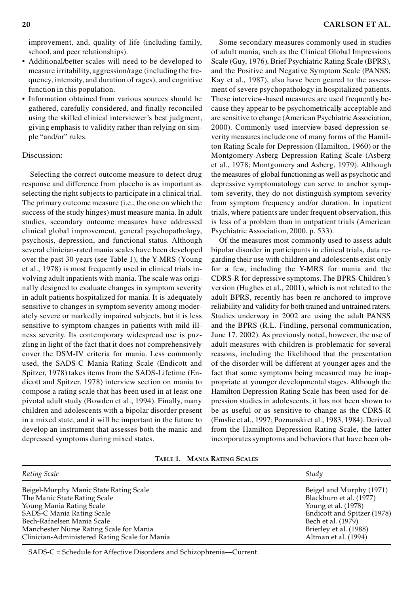- Additional/better scales will need to be developed to measure irritability, aggression/rage (including the frequency, intensity, and duration of rages), and cognitive function in this population.
- Information obtained from various sources should be gathered, carefully considered, and finally reconciled using the skilled clinical interviewer's best judgment, giving emphasis to validity rather than relying on simple "and/or" rules.

#### Discussion:

Selecting the correct outcome measure to detect drug response and difference from placebo is as important as selecting the right subjects to participate in a clinical trial. The primary outcome measure (i.e., the one on which the success of the study hinges) must measure mania. In adult studies, secondary outcome measures have addressed clinical global improvement, general psychopathology, psychosis, depression, and functional status. Although several clinician-rated mania scales have been developed over the past 30 years (see Table 1), the Y-MRS (Young et al., 1978) is most frequently used in clinical trials involving adult inpatients with mania. The scale was originally designed to evaluate changes in symptom severity in adult patients hospitalized for mania. It is adequately sensitive to changes in symptom severity among moderately severe or markedly impaired subjects, but it is less sensitive to symptom changes in patients with mild illness severity. Its contemporary widespread use is puzzling in light of the fact that it does not comprehensively cover the DSM-IV criteria for mania. Less commonly used, the SADS-C Mania Rating Scale (Endicott and Spitzer, 1978) takes items from the SADS-Lifetime (Endicott and Spitzer, 1978) interview section on mania to compose a rating scale that has been used in at least one pivotal adult study (Bowden et al., 1994). Finally, many children and adolescents with a bipolar disorder present in a mixed state, and it will be important in the future to develop an instrument that assesses both the manic and depressed symptoms during mixed states.

Some secondary measures commonly used in studies of adult mania, such as the Clinical Global Impressions Scale (Guy, 1976), Brief Psychiatric Rating Scale (BPRS), and the Positive and Negative Symptom Scale (PANSS; Kay et al., 1987), also have been geared to the assessment of severe psychopathology in hospitalized patients. These interview-based measures are used frequently because they appear to be psychometrically acceptable and are sensitive to change (American Psychiatric Association, 2000). Commonly used interview-based depression severity measures include one of many forms of the Hamilton Rating Scale for Depression (Hamilton, 1960) or the Montgomery-Asberg Depression Rating Scale (Asberg et al., 1978; Montgomery and Asberg, 1979). Although the measures of global functioning as well as psychotic and depressive symptomatology can serve to anchor symptom severity, they do not distinguish symptom severity from symptom frequency and/or duration. In inpatient trials, where patients are under frequent observation, this is less of a problem than in outpatient trials (American Psychiatric Association, 2000, p. 533).

Of the measures most commonly used to assess adult bipolar disorder in participants in clinical trials, data regarding their use with children and adolescents exist only for a few, including the Y-MRS for mania and the CDRS-R for depressive symptoms. The BPRS-Children's version (Hughes et al., 2001), which is not related to the adult BPRS, recently has been re-anchored to improve reliability and validity for both trained and untrained raters. Studies underway in 2002 are using the adult PANSS and the BPRS (R.L. Findling, personal communication, June 17, 2002). As previously noted, however, the use of adult measures with children is problematic for several reasons, including the likelihood that the presentation of the disorder will be different at younger ages and the fact that some symptoms being measured may be inappropriate at younger developmental stages. Although the Hamilton Depression Rating Scale has been used for depression studies in adolescents, it has not been shown to be as useful or as sensitive to change as the CDRS-R (Emslie et al., 1997; Poznanski et al., 1983, 1984). Derived from the Hamilton Depression Rating Scale, the latter incorporates symptoms and behaviors that have been ob-

**TABLE 1. MANIA RATING SCALES**

| Rating Scale                                  | Study                       |
|-----------------------------------------------|-----------------------------|
| Beigel-Murphy Manic State Rating Scale        | Beigel and Murphy (1971)    |
| The Manic State Rating Scale                  | Blackburn et al. (1977)     |
| Young Mania Rating Scale                      | Young et al. (1978)         |
| SADS-C Mania Rating Scale                     | Endicott and Spitzer (1978) |
| Bech-Rafaelsen Mania Scale                    | Bech et al. (1979)          |
| Manchester Nurse Rating Scale for Mania       | Brierley et al. (1988)      |
| Clinician-Administered Rating Scale for Mania | Altman et al. (1994)        |

SADS-C = Schedule for Affective Disorders and Schizophrenia—Current.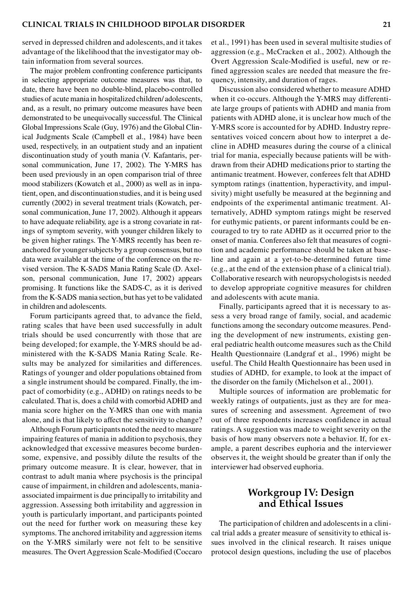served in depressed children and adolescents, and it takes advantage of the likelihood that the investigator may obtain information from several sources.

The major problem confronting conference participants in selecting appropriate outcome measures was that, to date, there have been no double-blind, placebo-controlled studies of acute mania in hospitalized children/ adolescents, and, as a result, no primary outcome measures have been demonstrated to be unequivocally successful. The Clinical Global Impressions Scale (Guy, 1976) and the Global Clinical Judgments Scale (Campbell et al., 1984) have been used, respectively, in an outpatient study and an inpatient discontinuation study of youth mania (V. Kafantaris, personal communication, June 17, 2002). The Y-MRS has been used previously in an open comparison trial of three mood stabilizers (Kowatch et al., 2000) as well as in inpatient, open, and discontinuation studies, and it is being used currently (2002) in several treatment trials (Kowatch, personal communication, June 17, 2002). Although it appears to have adequate reliability, age is a strong covariate in ratings of symptom severity, with younger children likely to be given higher ratings. The Y-MRS recently has been reanchored for younger subjects by a group consensus, but no data were available at the time of the conference on the revised version. The K-SADS Mania Rating Scale (D. Axelson, personal communication, June 17, 2002) appears promising. It functions like the SADS-C, as it is derived from the K-SADS mania section, but has yet to be validated in children and adolescents.

Forum participants agreed that, to advance the field, rating scales that have been used successfully in adult trials should be used concurrently with those that are being developed; for example, the Y-MRS should be administered with the K-SADS Mania Rating Scale. Results may be analyzed for similarities and differences. Ratings of younger and older populations obtained from a single instrument should be compared. Finally, the impact of comorbidity (e.g., ADHD) on ratings needs to be calculated. That is, does a child with comorbid ADHD and mania score higher on the Y-MRS than one with mania alone, and is that likely to affect the sensitivity to change?

Although Forum participants noted the need to measure impairing features of mania in addition to psychosis, they acknowledged that excessive measures become burdensome, expensive, and possibly dilute the results of the primary outcome measure. It is clear, however, that in contrast to adult mania where psychosis is the principal cause of impairment, in children and adolescents, maniaassociated impairment is due principally to irritability and aggression. Assessing both irritability and aggression in youth is particularly important, and participants pointed out the need for further work on measuring these key symptoms. The anchored irritability and aggression items on the Y-MRS similarly were not felt to be sensitive measures. The Overt Aggression Scale-Modified (Coccaro et al., 1991) has been used in several multisite studies of aggression (e.g., McCracken et al., 2002). Although the Overt Aggression Scale-Modified is useful, new or refined aggression scales are needed that measure the frequency, intensity, and duration of rages.

Discussion also considered whether to measure ADHD when it co-occurs. Although the Y-MRS may differentiate large groups of patients with ADHD and mania from patients with ADHD alone, it is unclear how much of the Y-MRS score is accounted for by ADHD. Industry representatives voiced concern about how to interpret a decline in ADHD measures during the course of a clinical trial for mania, especially because patients will be withdrawn from their ADHD medications prior to starting the antimanic treatment. However, conferees felt that ADHD symptom ratings (inattention, hyperactivity, and impulsivity) might usefully be measured at the beginning and endpoints of the experimental antimanic treatment. Alternatively, ADHD symptom ratings might be reserved for euthymic patients, or parent informants could be encouraged to try to rate ADHD as it occurred prior to the onset of mania. Conferees also felt that measures of cognition and academic performance should be taken at baseline and again at a yet-to-be-determined future time (e.g., at the end of the extension phase of a clinical trial). Collaborative research with neuropsychologists is needed to develop appropriate cognitive measures for children and adolescents with acute mania.

Finally, participants agreed that it is necessary to assess a very broad range of family, social, and academic functions among the secondary outcome measures. Pending the development of new instruments, existing general pediatric health outcome measures such as the Child Health Questionnaire (Landgraf et al., 1996) might be useful. The Child Health Questionnaire has been used in studies of ADHD, for example, to look at the impact of the disorder on the family (Michelson et al., 2001).

Multiple sources of information are problematic for weekly ratings of outpatients, just as they are for measures of screening and assessment. Agreement of two out of three respondents increases confidence in actual ratings. A suggestion was made to weight severity on the basis of how many observers note a behavior. If, for example, a parent describes euphoria and the interviewer observes it, the weight should be greater than if only the interviewer had observed euphoria.

# **Workgroup IV: Design and Ethical Issues**

The participation of children and adolescents in a clinical trial adds a greater measure of sensitivity to ethical issues involved in the clinical research. It raises unique protocol design questions, including the use of placebos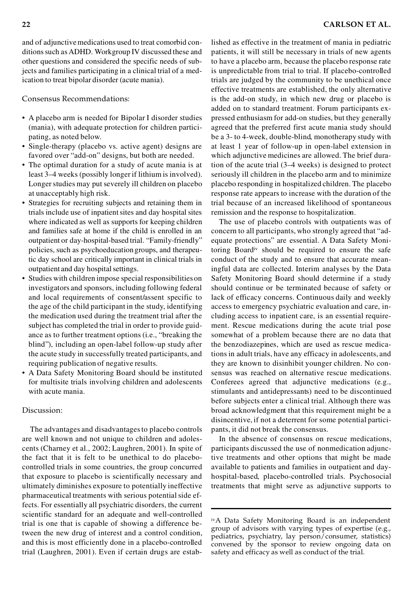and of adjunctive medications used to treat comorbid conditions such as ADHD. Workgroup IV discussed these and other questions and considered the specific needs of subjects and families participating in a clinical trial of a medication to treat bipolar disorder (acute mania).

Consensus Recommendations:

- A placebo arm is needed for Bipolar I disorder studies (mania), with adequate protection for children participating, as noted below.
- Single-therapy (placebo vs. active agent) designs are favored over "add-on" designs, but both are needed.
- The optimal duration for a study of acute mania is at least 3–4 weeks (possibly longer if lithium is involved). Longer studies may put severely ill children on placebo at unacceptably high risk.
- Strategies for recruiting subjects and retaining them in trials include use of inpatient sites and day hospital sites where indicated as well as supports for keeping children and families safe at home if the child is enrolled in an outpatient or day-hospital-based trial. "Family-friendly" policies, such as psychoeducation groups, and therapeutic day school are critically important in clinical trials in outpatient and day hospital settings.
- Studies with children impose special responsibilities on investigators and sponsors, including following federal and local requirements of consent/assent specific to the age of the child participant in the study, identifying the medication used during the treatment trial after the subject has completed the trial in order to provide guidance as to further treatment options (i.e., "breaking the blind"), including an open-label follow-up study after the acute study in successfully treated participants, and requiring publication of negative results.
- A Data Safety Monitoring Board should be instituted for multisite trials involving children and adolescents with acute mania.

#### Discussion:

The advantages and disadvantages to placebo controls are well known and not unique to children and adolescents (Charney et al., 2002; Laughren, 2001). In spite of the fact that it is felt to be unethical to do placebocontrolled trials in some countries, the group concurred that exposure to placebo is scientifically necessary and ultimately diminishes exposure to potentially ineffective pharmaceutical treatments with serious potential side effects. For essentially all psychiatric disorders, the current scientific standard for an adequate and well-controlled trial is one that is capable of showing a difference between the new drug of interest and a control condition, and this is most efficiently done in a placebo-controlled trial (Laughren, 2001). Even if certain drugs are established as effective in the treatment of mania in pediatric patients, it will still be necessary in trials of new agents to have a placebo arm, because the placebo response rate is unpredictable from trial to trial. If placebo-controlled trials are judged by the community to be unethical once effective treatments are established, the only alternative is the add-on study, in which new drug or placebo is added on to standard treatment. Forum participants expressed enthusiasm for add-on studies, but they generally agreed that the preferred first acute mania study should be a 3- to 4-week, double-blind, monotherapy study with at least 1 year of follow-up in open-label extension in which adjunctive medicines are allowed. The brief duration of the acute trial (3–4 weeks) is designed to protect seriously ill children in the placebo arm and to minimize placebo responding in hospitalized children. The placebo response rate appears to increase with the duration of the trial because of an increased likelihood of spontaneous remission and the response to hospitalization.

The use of placebo controls with outpatients was of concern to all participants, who strongly agreed that "adequate protections" are essential. A Data Safety Monitoring Boardiv should be required to ensure the safe conduct of the study and to ensure that accurate meaningful data are collected. Interim analyses by the Data Safety Monitoring Board should determine if a study should continue or be terminated because of safety or lack of efficacy concerns. Continuous daily and weekly access to emergency psychiatric evaluation and care, including access to inpatient care, is an essential requirement. Rescue medications during the acute trial pose somewhat of a problem because there are no data that the benzodiazepines, which are used as rescue medications in adult trials, have any efficacy in adolescents, and they are known to disinhibit younger children. No consensus was reached on alternative rescue medications. Conferees agreed that adjunctive medications (e.g., stimulants and antidepressants) need to be discontinued before subjects enter a clinical trial. Although there was broad acknowledgment that this requirement might be a disincentive, if not a deterrent for some potential participants, it did not break the consensus.

In the absence of consensus on rescue medications, participants discussed the use of nonmedication adjunctive treatments and other options that might be made available to patients and families in outpatient and dayhospital-based, placebo-controlled trials. Psychosocial treatments that might serve as adjunctive supports to

ivA Data Safety Monitoring Board is an independent group of advisors with varying types of expertise (e.g., pediatrics, psychiatry, lay person/consumer, statistics) convened by the sponsor to review ongoing data on safety and efficacy as well as conduct of the trial.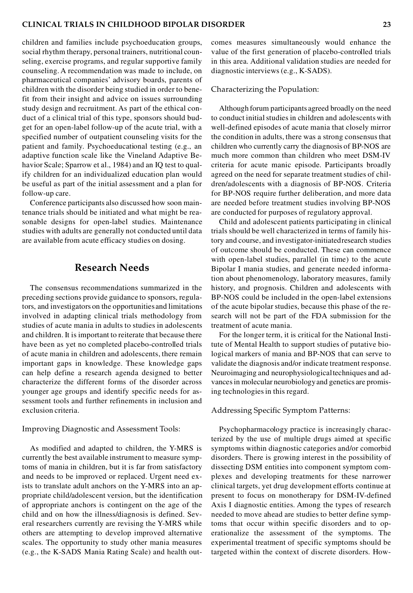children and families include psychoeducation groups, social rhythm therapy, personal trainers, nutritional counseling, exercise programs, and regular supportive family counseling. A recommendation was made to include, on pharmaceutical companies' advisory boards, parents of children with the disorder being studied in order to benefit from their insight and advice on issues surrounding study design and recruitment. As part of the ethical conduct of a clinical trial of this type, sponsors should budget for an open-label follow-up of the acute trial, with a specified number of outpatient counseling visits for the patient and family. Psychoeducational testing (e.g., an adaptive function scale like the Vineland Adaptive Behavior Scale; Sparrow et al., 1984) and an IQ test to qualify children for an individualized education plan would be useful as part of the initial assessment and a plan for follow-up care.

Conference participants also discussed how soon maintenance trials should be initiated and what might be reasonable designs for open-label studies. Maintenance studies with adults are generally not conducted until data are available from acute efficacy studies on dosing.

### **Research Needs**

The consensus recommendations summarized in the preceding sections provide guidance to sponsors, regulators, and investigators on the opportunities and limitations involved in adapting clinical trials methodology from studies of acute mania in adults to studies in adolescents and children. It is important to reiterate that because there have been as yet no completed placebo-controlled trials of acute mania in children and adolescents, there remain important gaps in knowledge. These knowledge gaps can help define a research agenda designed to better characterize the different forms of the disorder across younger age groups and identify specific needs for assessment tools and further refinements in inclusion and exclusion criteria.

#### Improving Diagnostic and Assessment Tools:

As modified and adapted to children, the Y-MRS is currently the best available instrument to measure symptoms of mania in children, but it is far from satisfactory and needs to be improved or replaced. Urgent need exists to translate adult anchors on the Y-MRS into an appropriate child/adolescent version, but the identification of appropriate anchors is contingent on the age of the child and on how the illness/diagnosis is defined. Several researchers currently are revising the Y-MRS while others are attempting to develop improved alternative scales. The opportunity to study other mania measures (e.g., the K-SADS Mania Rating Scale) and health outcomes measures simultaneously would enhance the value of the first generation of placebo-controlled trials in this area. Additional validation studies are needed for diagnostic interviews (e.g., K-SADS).

#### Characterizing the Population:

Although forum participants agreed broadly on the need to conduct initial studies in children and adolescents with well-defined episodes of acute mania that closely mirror the condition in adults, there was a strong consensus that children who currently carry the diagnosis of BP-NOS are much more common than children who meet DSM-IV criteria for acute manic episode. Participants broadly agreed on the need for separate treatment studies of children/adolescents with a diagnosis of BP-NOS. Criteria for BP-NOS require further deliberation, and more data are needed before treatment studies involving BP-NOS are conducted for purposes of regulatory approval.

Child and adolescent patients participating in clinical trials should be well characterized in terms of family history and course, and investigator-initiated research studies of outcome should be conducted. These can commence with open-label studies, parallel (in time) to the acute Bipolar I mania studies, and generate needed information about phenomenology, laboratory measures, family history, and prognosis. Children and adolescents with BP-NOS could be included in the open-label extensions of the acute bipolar studies, because this phase of the research will not be part of the FDA submission for the treatment of acute mania.

For the longer term, it is critical for the National Institute of Mental Health to support studies of putative biological markers of mania and BP-NOS that can serve to validate the diagnosis and/or indicate treatment response. Neuroimaging and neurophysiological techniques and advances in molecular neurobiology and genetics are promising technologiesin this regard.

#### Addressing Specific Symptom Patterns:

Psychopharmacology practice is increasingly characterized by the use of multiple drugs aimed at specific symptoms within diagnostic categories and/or comorbid disorders. There is growing interest in the possibility of dissecting DSM entities into component symptom complexes and developing treatments for these narrower clinical targets, yet drug development efforts continue at present to focus on monotherapy for DSM-IV-defined Axis I diagnostic entities. Among the types of research needed to move ahead are studies to better define symptoms that occur within specific disorders and to operationalize the assessment of the symptoms. The experimental treatment of specific symptoms should be targeted within the context of discrete disorders. How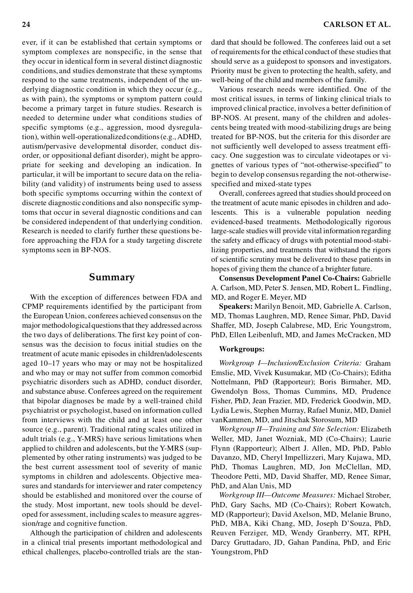ever, if it can be established that certain symptoms or symptom complexes are nonspecific, in the sense that they occur in identical form in several distinct diagnostic conditions, and studies demonstrate that these symptoms respond to the same treatments, independent of the underlying diagnostic condition in which they occur (e.g., as with pain), the symptoms or symptom pattern could become a primary target in future studies. Research is needed to determine under what conditions studies of specific symptoms (e.g., aggression, mood dysregulation), within well-operationalized conditions (e.g., ADHD, autism/pervasive developmental disorder, conduct disorder, or oppositional defiant disorder), might be appropriate for seeking and developing an indication. In particular, it will be important to secure data on the reliability (and validity) of instruments being used to assess both specific symptoms occurring within the context of discrete diagnostic conditions and also nonspecific symptoms that occur in several diagnostic conditions and can be considered independent of that underlying condition. Research is needed to clarify further these questions before approaching the FDA for a study targeting discrete symptoms seen in BP-NOS.

### **Summary**

With the exception of differences between FDA and CPMP requirements identified by the participant from the European Union, conferees achieved consensus on the major methodological questions that they addressed across the two days of deliberations.The first key point of consensus was the decision to focus initial studies on the treatment of acute manic episodes in children/adolescents aged 10–17 years who may or may not be hospitalized and who may or may not suffer from common comorbid psychiatric disorders such as ADHD, conduct disorder, and substance abuse. Conferees agreed on the requirement that bipolar diagnoses be made by a well-trained child psychiatrist or psychologist, based on information culled from interviews with the child and at least one other source (e.g., parent). Traditional rating scales utilized in adult trials (e.g., Y-MRS) have serious limitations when applied to children and adolescents, but the Y-MRS (supplemented by other rating instruments) was judged to be the best current assessment tool of severity of manic symptoms in children and adolescents. Objective measures and standards for interviewer and rater competency should be established and monitored over the course of the study. Most important, new tools should be developed for assessment, including scales to measure aggression/rage and cognitive function.

Although the participation of children and adolescents in a clinical trial presents important methodological and ethical challenges, placebo-controlled trials are the standard that should be followed. The conferees laid out a set of requirements for the ethical conduct of these studies that should serve as a guidepost to sponsors and investigators. Priority must be given to protecting the health, safety, and well-being of the child and members of the family.

Various research needs were identified. One of the most critical issues, in terms of linking clinical trials to improved clinical practice, involves a better definition of BP-NOS. At present, many of the children and adolescents being treated with mood-stabilizing drugs are being treated for BP-NOS, but the criteria for this disorder are not sufficiently well developed to assess treatment efficacy. One suggestion was to circulate videotapes or vignettes of various types of "not-otherwise-specified" to begin to develop consensus regarding the not-otherwisespecified and mixed-state types

Overall, conferees agreed that studies should proceed on the treatment of acute manic episodes in children and adolescents. This is a vulnerable population needing evidenced-based treatments. Methodologically rigorous large-scale studies will provide vital information regarding the safety and efficacy of drugs with potential mood-stabilizing properties, and treatments that withstand the rigors of scientific scrutiny must be delivered to these patients in hopes of giving them the chance of a brighter future.

**Consensus Development Panel Co-Chairs:** Gabrielle A. Carlson, MD, Peter S. Jensen, MD, Robert L. Findling, MD, and Roger E. Meyer, MD

**Speakers:** Marilyn Benoit, MD, Gabrielle A. Carlson, MD, Thomas Laughren, MD, Renee Simar, PhD, David Shaffer, MD, Joseph Calabrese, MD, Eric Youngstrom, PhD, Ellen Leibenluft, MD, and James McCracken, MD

#### **Workgroups:**

*Workgroup I—Inclusion/Exclusion Criteria:* Graham Emslie, MD, Vivek Kusumakar, MD (Co-Chairs); Editha Nottelmann, PhD (Rapporteur); Boris Birmaher, MD, Gwendolyn Boss, Thomas Cummins, MD, Prudence Fisher, PhD, Jean Frazier, MD, Frederick Goodwin, MD, Lydia Lewis, Stephen Murray, Rafael Muniz, MD, Daniel vanKammen, MD, and Jitschak Storosum, MD

*Workgroup II—Training and Site Selection:* Elizabeth Weller, MD, Janet Wozniak, MD (Co-Chairs); Laurie Flynn (Rapporteur); Albert J. Allen, MD, PhD, Pablo Davanzo, MD, Cheryl Impellizzeri, Mary Kujawa, MD, PhD, Thomas Laughren, MD, Jon McClellan, MD, Theodore Petti, MD, David Shaffer, MD, Renee Simar, PhD, and Alan Unis, MD

*Workgroup III—Outcome Measures:* Michael Strober, PhD, Gary Sachs, MD (Co-Chairs); Robert Kowatch, MD (Rapporteur); David Axelson, MD, Melanie Bruno, PhD, MBA, Kiki Chang, MD, Joseph D'Souza, PhD, Reuven Ferziger, MD, Wendy Granberry, MT, RPH, Darcy Gruttadaro, JD, Gahan Pandina, PhD, and Eric Youngstrom, PhD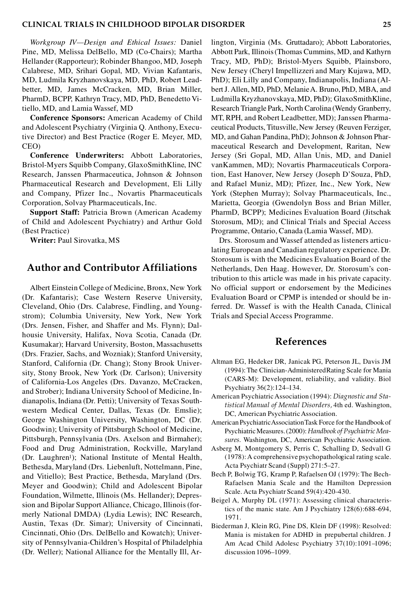*Workgroup IV—Design and Ethical Issues:* Daniel Pine, MD, Melissa DelBello, MD (Co-Chairs); Martha Hellander (Rapporteur); Robinder Bhangoo, MD, Joseph Calabrese, MD, Srihari Gopal, MD, Vivian Kafantaris, MD, Ludmila Kryzhanovskaya, MD, PhD, Robert Leadbetter, MD, James McCracken, MD, Brian Miller, PharmD, BCPP, Kathryn Tracy, MD, PhD, Benedetto Vitiello, MD, and Lamia Wassef, MD

**Conference Sponsors:** American Academy of Child and Adolescent Psychiatry (Virginia Q. Anthony, Executive Director) and Best Practice (Roger E. Meyer, MD, CEO)

**Conference Underwriters:** Abbott Laboratories, Bristol-Myers Squibb Company, GlaxoSmithKline, INC Research, Janssen Pharmaceutica, Johnson & Johnson Pharmaceutical Research and Development, Eli Lilly and Company, Pfizer Inc., Novartis Pharmaceuticals Corporation, Solvay Pharmaceuticals, Inc.

**Support Staff:** Patricia Brown (American Academy of Child and Adolescent Psychiatry) and Arthur Gold (Best Practice)

**Writer:** Paul Sirovatka, MS

### **Author and Contributor Affiliations**

Albert Einstein College of Medicine, Bronx, New York (Dr. Kafantaris); Case Western Reserve University, Cleveland, Ohio (Drs. Calabrese, Findling, and Youngstrom); Columbia University, New York, New York (Drs. Jensen, Fisher, and Shaffer and Ms. Flynn); Dalhousie University, Halifax, Nova Scotia, Canada (Dr. Kusumakar); Harvard University, Boston, Massachusetts (Drs. Frazier, Sachs, and Wozniak); Stanford University, Stanford, California (Dr. Chang); Stony Brook University, Stony Brook, New York (Dr. Carlson); University of California-Los Angeles (Drs. Davanzo, McCracken, and Strober); Indiana University School of Medicine, Indianapolis, Indiana (Dr. Petti); University of Texas Southwestern Medical Center, Dallas, Texas (Dr. Emslie); George Washington University, Washington, DC (Dr. Goodwin); University of Pittsburgh School of Medicine, Pittsburgh, Pennsylvania (Drs. Axelson and Birmaher); Food and Drug Administration, Rockville, Maryland (Dr. Laughren<sup>1</sup>); National Institute of Mental Health, Bethesda, Maryland (Drs. Liebenluft, Nottelmann, Pine, and Vitiello); Best Practice, Bethesda, Maryland (Drs. Meyer and Goodwin); Child and Adolescent Bipolar Foundation, Wilmette, Illinois (Ms. Hellander); Depression and Bipolar Support Alliance, Chicago, Illinois (formerly National DMDA) (Lydia Lewis); INC Research, Austin, Texas (Dr. Simar); University of Cincinnati, Cincinnati, Ohio (Drs. DelBello and Kowatch); University of Pennsylvania-Children's Hospital of Philadelphia (Dr. Weller); National Alliance for the Mentally Ill, Arlington, Virginia (Ms. Gruttadaro); Abbott Laboratories, Abbott Park, Illinois (Thomas Cummins, MD, and Kathyrn Tracy, MD, PhD); Bristol-Myers Squibb, Plainsboro, New Jersey (Cheryl Impellizzeri and Mary Kujawa, MD, PhD); Eli Lilly and Company, Indianapolis, Indiana (Albert J. Allen, MD, PhD, Melanie A. Bruno, PhD, MBA, and Ludmilla Kryzhanovskaya, MD, PhD); GlaxoSmithKline, Research Triangle Park, North Carolina (Wendy Granberry, MT, RPH, and Robert Leadbetter, MD); Janssen Pharmaceutical Products, Titusville, New Jersey (Reuven Ferziger, MD, and Gahan Pandina, PhD); Johnson & Johnson Pharmaceutical Research and Development, Raritan, New Jersey (Sri Gopal, MD, Allan Unis, MD, and Daniel vanKammen, MD); Novartis Pharmaceuticals Corporation, East Hanover, New Jersey (Joseph D'Souza, PhD, and Rafael Muniz, MD); Pfizer, Inc., New York, New York (Stephen Murray); Solvay Pharmaceuticals, Inc., Marietta, Georgia (Gwendolyn Boss and Brian Miller, PharmD, BCPP); Medicines Evaluation Board (Jitschak Storosum, MD); and Clinical Trials and Special Access Programme, Ontario, Canada (Lamia Wassef, MD).

Drs. Storosum and Wassef attended as listeners articulating European and Canadian regulatory experience. Dr. Storosum is with the Medicines Evaluation Board of the Netherlands, Den Haag. However, Dr. Storosum's contribution to this article was made in his private capacity. No official support or endorsement by the Medicines Evaluation Board or CPMP is intended or should be inferred. Dr. Wassef is with the Health Canada, Clinical Trials and Special Access Programme.

### **References**

- Altman EG, Hedeker DR, Janicak PG, Peterson JL, Davis JM (1994): The Clinician-Administered Rating Scale for Mania (CARS-M): Development, reliability, and validity. Biol Psychiatry 36(2):124–134.
- American Psychiatric Association (1994): *Diagnostic and Statistical Manual of Mental Disorders,* 4th ed. Washington, DC, American Psychiatric Association.
- American Psychiatric Association Task Force for the Handbook of Psychiatric Measures. (2000): *Handbook of Psychiatric Measures.* Washington, DC, American Psychiatric Association.
- Asberg M, Montgomery S, Perris C, Schalling D, Sedvall G (1978): A comprehensive psychopathological rating scale. Acta Psychiatr Scand (Suppl) 271:5–27.
- Bech P, Bolwig TG, Kramp P, Rafaelsen OJ (1979): The Bech-Rafaelsen Mania Scale and the Hamilton Depression Scale. Acta Psychiatr Scand 59(4):420–430.
- Beigel A, Murphy DL (1971): Assessing clinical characteristics of the manic state. Am J Psychiatry 128(6):688–694, 1971.
- Biederman J, Klein RG, Pine DS, Klein DF (1998): Resolved: Mania is mistaken for ADHD in prepubertal children. J Am Acad Child Adolesc Psychiatry 37(10):1091–1096; discussion 1096–1099.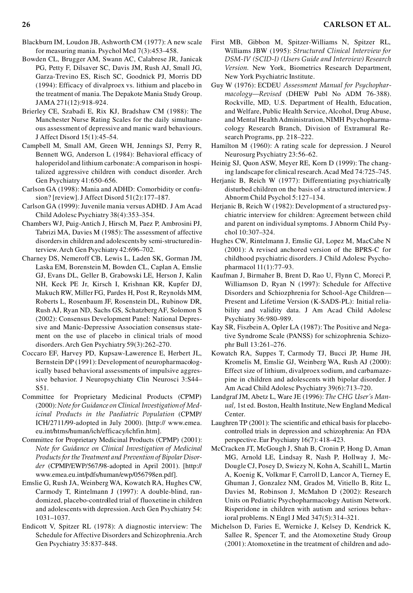- Blackburn IM, Loudon JB, Ashworth CM (1977): A new scale for measuring mania. Psychol Med 7(3):453–458.
- Bowden CL, Brugger AM, Swann AC, Calabrese JR, Janicak PG, Petty F, Dilsaver SC, Davis JM, Rush AJ, Small JG, Garza-Trevino ES, Risch SC, Goodnick PJ, Morris DD (1994): Efficacy of divalproex vs. lithium and placebo in the treatment of mania. The Depakote Mania Study Group. JAMA 271(12):918–924.
- Brierley CE, Szabadi E, Rix KJ, Bradshaw CM (1988): The Manchester Nurse Rating Scales for the daily simultane ous assessment of depressive and manic ward behaviours. J Affect Disord 15(1):45–54.
- Campbell M, Small AM, Green WH, Jennings SJ, Perry R, Bennett WG, Anderson L (1984): Behavioral efficacy of haloperidol and lithium carbonate: A comparison in hospitalized aggressive children with conduct disorder. Arch Gen Psychiatry 41:650–656.
- Carlson GA (1998): Mania and ADHD: Comorbidity or confusion? [review].J Affect Disord 51(2):177–187.
- Carlson GA (1999): Juvenile mania versus ADHD. J Am Acad Child Adolesc Psychiatry 38(4):353–354.
- Chambers WJ, Puig-Antich J, Hirsch M, Paez P, Ambrosini PJ, Tabrizi MA, Davies M (1985): The assessment of affective disorders in children and adolescents by semi-structured interview. Arch Gen Psychiatry 42:696–702.
- Charney DS, Nemeroff CB, Lewis L, Laden SK, Gorman JM, Laska EM, Borenstein M, Bowden CL, Caplan A, Emslie GJ, Evans DL, Geller B, Grabowski LE, Herson J, Kalin NH, Keck PE Jr, Kirsch I, Krishnan KR, Kupfer DJ, Makuch RW, Miller FG, Pardes H, Post R, Reynolds MM, Roberts L, Rosenbaum JF, Rosenstein DL, Rubinow DR, Rush AJ, Ryan ND, Sachs GS, Schatzberg AF, Solomon S (2002): Consensus Development Panel: National Depressive and Manic-Depressive Association consensus statement on the use of placebo in clinical trials of mood disorders. Arch Gen Psychiatry 59(3):262–270.
- Coccaro EF, Harvey PD, Kupsaw-Lawerence E, Herbert JL, Bernstein DP (1991): Development of neuropharmacologically based behavioral assessments of impulsive aggressive behavior. J Neuropsychiatry Clin Neurosci 3:S44– S51.
- Committee for Proprietary Medicinal Products (CPMP) (2000): *Note for Guidance on Clinical Investigation of Medicinal Products in the Paediatric Population* (CPMP/ ICH/2711/99-adopted in July 2000). [http:// www.emea. eu.int/htms/human/ich/efficacy/ichfin.htm].
- Committee for Proprietary Medicinal Products (CPMP) (2001): *Note for Guidance on Clinical Investigation of Medicinal Products for the Treatment and Prevention of Bipolar Disorder* (CPMP/EWP/567/98-adopted in April 2001). [http:// www.emea.eu.int/pdfs/human/ewp/056798en.pdf].
- Emslie G, Rush JA, Weinberg WA, Kowatch RA, Hughes CW, Carmody T, Rintelmann J (1997): A double-blind, ran domized, placebo-controlled trial of fluoxetine in children and adolescents with depression. Arch Gen Psychiatry 54: 1031–1037.
- Endicott V, Spitzer RL (1978): A diagnostic interview: The Schedule for Affective Disorders and Schizophrenia. Arch Gen Psychiatry 35:837–848.
- First MB, Gibbon M, Spitzer-Williams N, Spitzer RL, Williams JBW (1995): *Structured Clinical Interview for DSM-IV (SCID-I) (Users Guide and Interview) Research Version.* New York, Biometrics Research Department, New York Psychiatric Institute.
- Guy W (1976): ECDEU *Assessment Manual for Psychopharmacology—Revised* (DHEW Publ No ADM 76-388). Rockville, MD, U.S. Department of Health, Education, and Welfare, Public Health Service, Alcohol, Drug Abuse, and Mental Health Administration, NIMH Psychopharmacology Research Branch, Division of Extramural Research Programs, pp. 218–222.
- Hamilton M (1960): A rating scale for depression. J Neurol Neurosurg Psychiatry 23:56–62.
- Heinig SJ, Quon ASW, Meyer RE, Korn D (1999): The changing landscape for clinical research. Acad Med 74:725–745.
- Herjanic B, Reich W (1977): Differentiating psychiatrically disturbed children on the basis of a structured interview. J Abnorm Child Psychol 5:127–134.
- Herjanic B, Reich W (1982): Development of a structured psychiatric interview for children: Agreement between child and parent on individual symptoms. J Abnorm Child Psychol 10:307–324.
- Hughes CW, Rintelmann J, Emslie GJ, Lopez M, MacCabe N (2001): A revised anchored version of the BPRS-C for childhood psychiatric disorders. J Child Adolesc Psychopharmacol 11(1):77–93.
- Kaufman J, Birmaher B, Brent D, Rao U, Flynn C, Moreci P, Williamson D, Ryan N (1997): Schedule for Affective Disorders and Schiozphrenia for School-Age Children— Present and Lifetime Version (K-SADS-PL): Initial reliability and validity data. J Am Acad Child Adolesc Psychiatry 36:980–989.
- Kay SR, Fiszbein A, Opler LA (1987): The Positive and Negative Syndrome Scale (PANSS) for schizophrenia. Schizophr Bull 13:261–276.
- Kowatch RA, Suppes T, Carmody TJ, Bucci JP, Hume JH, Kromelis M, Emslie GJ, Weinberg WA, Rush AJ (2000): Effect size of lithium, divalproex sodium, and carbamazepine in children and adolescents with bipolar disorder. J Am Acad Child Adolesc Psychiatry 39(6):713–720.
- Landgraf JM, Abetz L, Ware JE (1996): *The CHG User's Manual,* 1st ed. Boston, Health Institute, New England Medical Center.
- Laughren TP (2001): The scientific and ethical basis for placebocontrolled trials in depression and schizophrenia: An FDA perspective. Eur Psychiatry 16(7): 418–423.
- McCracken JT, McGough J, Shah B, Cronin P, Hong D, Aman MG, Arnold LE, Lindsay R, Nash P, Hollway J, Mc-Dougle CJ, Posey D, Swiezy N, Kohn A, Scahill L, Martin A, Koenig K, Volkmar F, Carroll D, Lancor A, Tierney E, Ghuman J, Gonzalez NM, Grados M, Vitiello B, Ritz L, Davies M, Robinson J, McMahon D (2002): Research Units on Pediatric Psychopharmacology Autism Network. Risperidone in children with autism and serious behavioral problems. N Engl J Med 347(5):314–321.
- Michelson D, Faries E, Wernicke J, Kelsey D, Kendrick K, Sallee R, Spencer T, and the Atomoxetine Study Group (2001): Atomoxetine in the treatment of children and ado-